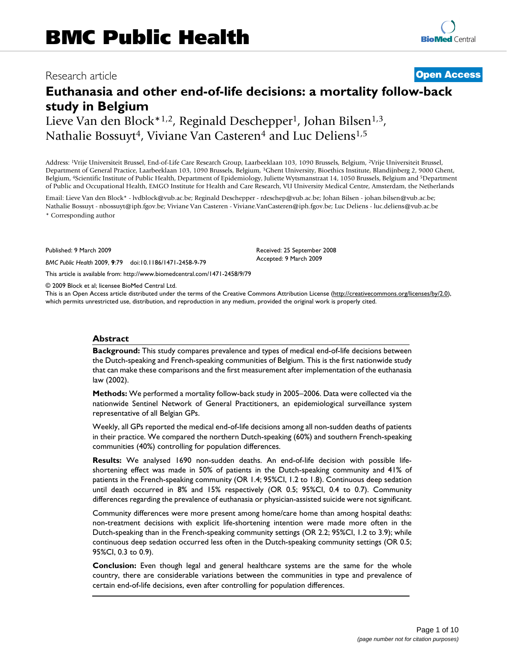# Research article **[Open Access](http://www.biomedcentral.com/info/about/charter/)**

# **Euthanasia and other end-of-life decisions: a mortality follow-back study in Belgium**

Lieve Van den Block\*<sup>1,2</sup>, Reginald Deschepper<sup>1</sup>, Johan Bilsen<sup>1,3</sup>, Nathalie Bossuyt<sup>4</sup>, Viviane Van Casteren<sup>4</sup> and Luc Deliens<sup>1,5</sup>

Address: 1Vrije Universiteit Brussel, End-of-Life Care Research Group, Laarbeeklaan 103, 1090 Brussels, Belgium, 2Vrije Universiteit Brussel, Department of General Practice, Laarbeeklaan 103, 1090 Brussels, Belgium, 3Ghent University, Bioethics Institute, Blandijnberg 2, 9000 Ghent, Belgium, 4Scientific Institute of Public Health, Department of Epidemiology, Juliette Wytsmanstraat 14, 1050 Brussels, Belgium and 5Department of Public and Occupational Health, EMGO Institute for Health and Care Research, VU University Medical Centre, Amsterdam, the Netherlands

Email: Lieve Van den Block\* - lvdblock@vub.ac.be; Reginald Deschepper - rdeschep@vub.ac.be; Johan Bilsen - johan.bilsen@vub.ac.be; Nathalie Bossuyt - nbossuyt@iph.fgov.be; Viviane Van Casteren - Viviane.VanCasteren@iph.fgov.be; Luc Deliens - luc.deliens@vub.ac.be \* Corresponding author

Published: 9 March 2009

*BMC Public Health* 2009, **9**:79 doi:10.1186/1471-2458-9-79

[This article is available from: http://www.biomedcentral.com/1471-2458/9/79](http://www.biomedcentral.com/1471-2458/9/79)

© 2009 Block et al; licensee BioMed Central Ltd.

This is an Open Access article distributed under the terms of the Creative Commons Attribution License [\(http://creativecommons.org/licenses/by/2.0\)](http://creativecommons.org/licenses/by/2.0), which permits unrestricted use, distribution, and reproduction in any medium, provided the original work is properly cited.

Received: 25 September 2008 Accepted: 9 March 2009

#### **Abstract**

**Background:** This study compares prevalence and types of medical end-of-life decisions between the Dutch-speaking and French-speaking communities of Belgium. This is the first nationwide study that can make these comparisons and the first measurement after implementation of the euthanasia law (2002).

**Methods:** We performed a mortality follow-back study in 2005–2006. Data were collected via the nationwide Sentinel Network of General Practitioners, an epidemiological surveillance system representative of all Belgian GPs.

Weekly, all GPs reported the medical end-of-life decisions among all non-sudden deaths of patients in their practice. We compared the northern Dutch-speaking (60%) and southern French-speaking communities (40%) controlling for population differences.

**Results:** We analysed 1690 non-sudden deaths. An end-of-life decision with possible lifeshortening effect was made in 50% of patients in the Dutch-speaking community and 41% of patients in the French-speaking community (OR 1.4; 95%CI, 1.2 to 1.8). Continuous deep sedation until death occurred in 8% and 15% respectively (OR 0.5; 95%CI, 0.4 to 0.7). Community differences regarding the prevalence of euthanasia or physician-assisted suicide were not significant.

Community differences were more present among home/care home than among hospital deaths: non-treatment decisions with explicit life-shortening intention were made more often in the Dutch-speaking than in the French-speaking community settings (OR 2.2; 95%CI, 1.2 to 3.9); while continuous deep sedation occurred less often in the Dutch-speaking community settings (OR 0.5; 95%CI, 0.3 to 0.9).

**Conclusion:** Even though legal and general healthcare systems are the same for the whole country, there are considerable variations between the communities in type and prevalence of certain end-of-life decisions, even after controlling for population differences.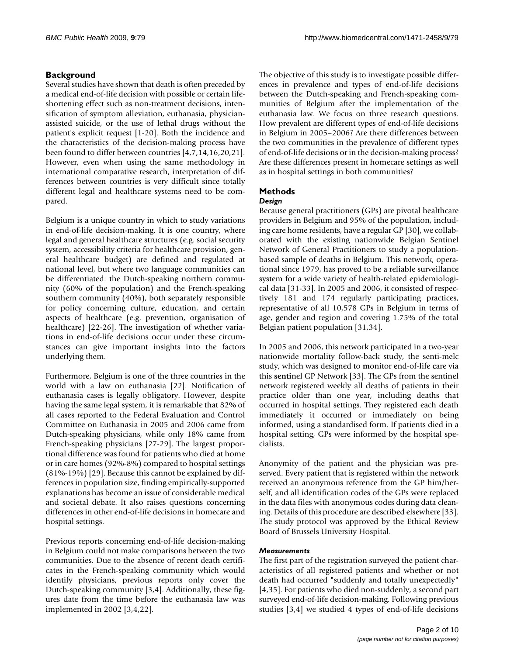# **Background**

Several studies have shown that death is often preceded by a medical end-of-life decision with possible or certain lifeshortening effect such as non-treatment decisions, intensification of symptom alleviation, euthanasia, physicianassisted suicide, or the use of lethal drugs without the patient's explicit request [1-20]. Both the incidence and the characteristics of the decision-making process have been found to differ between countries [4,7,14,16,20,21]. However, even when using the same methodology in international comparative research, interpretation of differences between countries is very difficult since totally different legal and healthcare systems need to be compared.

Belgium is a unique country in which to study variations in end-of-life decision-making. It is one country, where legal and general healthcare structures (e.g. social security system, accessibility criteria for healthcare provision, general healthcare budget) are defined and regulated at national level, but where two language communities can be differentiated: the Dutch-speaking northern community (60% of the population) and the French-speaking southern community (40%), both separately responsible for policy concerning culture, education, and certain aspects of healthcare (e.g. prevention, organisation of healthcare) [22-26]. The investigation of whether variations in end-of-life decisions occur under these circumstances can give important insights into the factors underlying them.

Furthermore, Belgium is one of the three countries in the world with a law on euthanasia [22]. Notification of euthanasia cases is legally obligatory. However, despite having the same legal system, it is remarkable that 82% of all cases reported to the Federal Evaluation and Control Committee on Euthanasia in 2005 and 2006 came from Dutch-speaking physicians, while only 18% came from French-speaking physicians [27-29]. The largest proportional difference was found for patients who died at home or in care homes (92%-8%) compared to hospital settings (81%-19%) [29]. Because this cannot be explained by differences in population size, finding empirically-supported explanations has become an issue of considerable medical and societal debate. It also raises questions concerning differences in other end-of-life decisions in homecare and hospital settings.

Previous reports concerning end-of-life decision-making in Belgium could not make comparisons between the two communities. Due to the absence of recent death certificates in the French-speaking community which would identify physicians, previous reports only cover the Dutch-speaking community [3,4]. Additionally, these figures date from the time before the euthanasia law was implemented in 2002 [3,4,22].

The objective of this study is to investigate possible differences in prevalence and types of end-of-life decisions between the Dutch-speaking and French-speaking communities of Belgium after the implementation of the euthanasia law. We focus on three research questions. How prevalent are different types of end-of-life decisions in Belgium in 2005–2006? Are there differences between the two communities in the prevalence of different types of end-of-life decisions or in the decision-making process? Are these differences present in homecare settings as well as in hospital settings in both communities?

# **Methods**

#### *Design*

Because general practitioners (GPs) are pivotal healthcare providers in Belgium and 95% of the population, including care home residents, have a regular GP [30], we collaborated with the existing nationwide Belgian Sentinel Network of General Practitioners to study a populationbased sample of deaths in Belgium. This network, operational since 1979, has proved to be a reliable surveillance system for a wide variety of health-related epidemiological data [31-33]. In 2005 and 2006, it consisted of respectively 181 and 174 regularly participating practices, representative of all 10,578 GPs in Belgium in terms of age, gender and region and covering 1.75% of the total Belgian patient population [31,34].

In 2005 and 2006, this network participated in a two-year nationwide mortality follow-back study, the senti-melc study, which was designed to **m**onitor **e**nd-of-**l**ife **c**are via this **senti**nel GP Network [33]. The GPs from the sentinel network registered weekly all deaths of patients in their practice older than one year, including deaths that occurred in hospital settings. They registered each death immediately it occurred or immediately on being informed, using a standardised form. If patients died in a hospital setting, GPs were informed by the hospital specialists.

Anonymity of the patient and the physician was preserved. Every patient that is registered within the network received an anonymous reference from the GP him/herself, and all identification codes of the GPs were replaced in the data files with anonymous codes during data cleaning. Details of this procedure are described elsewhere [33]. The study protocol was approved by the Ethical Review Board of Brussels University Hospital.

### *Measurements*

The first part of the registration surveyed the patient characteristics of all registered patients and whether or not death had occurred "suddenly and totally unexpectedly" [4,35]. For patients who died non-suddenly, a second part surveyed end-of-life decision-making. Following previous studies [3,4] we studied 4 types of end-of-life decisions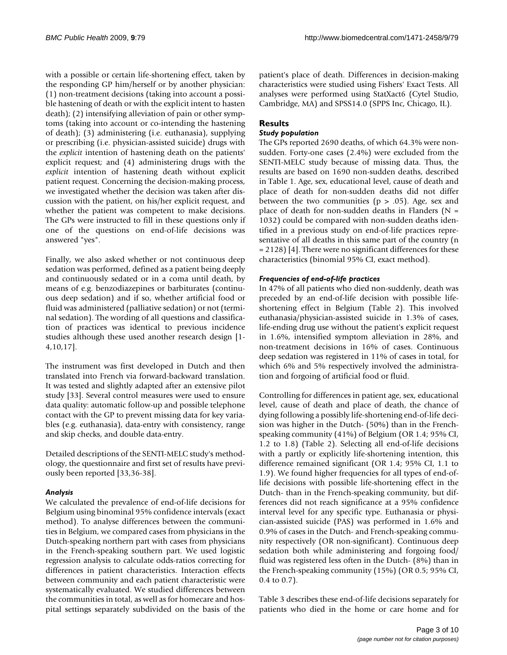with a possible or certain life-shortening effect, taken by the responding GP him/herself or by another physician: (1) non-treatment decisions (taking into account a possible hastening of death or with the explicit intent to hasten death); (2) intensifying alleviation of pain or other symptoms (taking into account or co-intending the hastening of death); (3) administering (i.e. euthanasia), supplying or prescribing (i.e. physician-assisted suicide) drugs with the *explicit* intention of hastening death on the patients' explicit request; and (4) administering drugs with the *explicit* intention of hastening death without explicit patient request. Concerning the decision-making process, we investigated whether the decision was taken after discussion with the patient, on his/her explicit request, and whether the patient was competent to make decisions. The GPs were instructed to fill in these questions only if one of the questions on end-of-life decisions was answered "yes".

Finally, we also asked whether or not continuous deep sedation was performed, defined as a patient being deeply and continuously sedated or in a coma until death, by means of e.g. benzodiazepines or barbiturates (continuous deep sedation) and if so, whether artificial food or fluid was administered (palliative sedation) or not (terminal sedation). The wording of all questions and classification of practices was identical to previous incidence studies although these used another research design [1- 4,10,17].

The instrument was first developed in Dutch and then translated into French via forward-backward translation. It was tested and slightly adapted after an extensive pilot study [33]. Several control measures were used to ensure data quality: automatic follow-up and possible telephone contact with the GP to prevent missing data for key variables (e.g. euthanasia), data-entry with consistency, range and skip checks, and double data-entry.

Detailed descriptions of the SENTI-MELC study's methodology, the questionnaire and first set of results have previously been reported [33,36-38].

### *Analysis*

We calculated the prevalence of end-of-life decisions for Belgium using binominal 95% confidence intervals (exact method). To analyse differences between the communities in Belgium, we compared cases from physicians in the Dutch-speaking northern part with cases from physicians in the French-speaking southern part. We used logistic regression analysis to calculate odds-ratios correcting for differences in patient characteristics. Interaction effects between community and each patient characteristic were systematically evaluated. We studied differences between the communities in total, as well as for homecare and hospital settings separately subdivided on the basis of the patient's place of death. Differences in decision-making characteristics were studied using Fishers' Exact Tests. All analyses were performed using StatXact6 (Cytel Studio, Cambridge, MA) and SPSS14.0 (SPPS Inc, Chicago, IL).

# **Results**

### *Study population*

The GPs reported 2690 deaths, of which 64.3% were nonsudden. Forty-one cases (2.4%) were excluded from the SENTI-MELC study because of missing data. Thus, the results are based on 1690 non-sudden deaths, described in Table 1. Age, sex, educational level, cause of death and place of death for non-sudden deaths did not differ between the two communities ( $p > .05$ ). Age, sex and place of death for non-sudden deaths in Flanders ( $N =$ 1032) could be compared with non-sudden deaths identified in a previous study on end-of-life practices representative of all deaths in this same part of the country (n = 2128) [4]. There were no significant differences for these characteristics (binomial 95% CI, exact method).

### *Frequencies of end-of-life practices*

In 47% of all patients who died non-suddenly, death was preceded by an end-of-life decision with possible lifeshortening effect in Belgium (Table 2). This involved euthanasia/physician-assisted suicide in 1.3% of cases, life-ending drug use without the patient's explicit request in 1.6%, intensified symptom alleviation in 28%, and non-treatment decisions in 16% of cases. Continuous deep sedation was registered in 11% of cases in total, for which 6% and 5% respectively involved the administration and forgoing of artificial food or fluid.

Controlling for differences in patient age, sex, educational level, cause of death and place of death, the chance of dying following a possibly life-shortening end-of-life decision was higher in the Dutch- (50%) than in the Frenchspeaking community (41%) of Belgium (OR 1.4; 95% CI, 1.2 to 1.8) (Table 2). Selecting all end-of-life decisions with a partly or explicitly life-shortening intention, this difference remained significant (OR 1.4; 95% CI, 1.1 to 1.9). We found higher frequencies for all types of end-oflife decisions with possible life-shortening effect in the Dutch- than in the French-speaking community, but differences did not reach significance at a 95% confidence interval level for any specific type. Euthanasia or physician-assisted suicide (PAS) was performed in 1.6% and 0.9% of cases in the Dutch- and French-speaking community respectively (OR non-significant). Continuous deep sedation both while administering and forgoing food/ fluid was registered less often in the Dutch- (8%) than in the French-speaking community (15%) (OR 0.5; 95% CI, 0.4 to 0.7).

Table 3 describes these end-of-life decisions separately for patients who died in the home or care home and for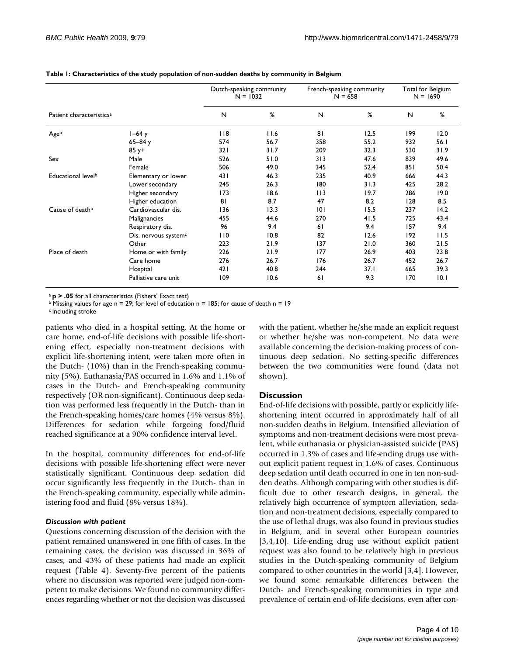|                                      |                                  |        | Dutch-speaking community<br>$N = 1032$ | French-speaking community<br>$N = 658$ | Total for Belgium<br>$N = 1690$ |     |      |
|--------------------------------------|----------------------------------|--------|----------------------------------------|----------------------------------------|---------------------------------|-----|------|
| Patient characteristics <sup>a</sup> |                                  | N      | %                                      | N                                      | %                               | N   | %    |
| Ageb                                 | $I-64y$                          | $ $  8 | 11.6                                   | 81                                     | 12.5                            | 199 | 12.0 |
|                                      | $65 - 84y$                       | 574    | 56.7                                   | 358                                    | 55.2                            | 932 | 56.1 |
|                                      | $85y+$                           | 321    | 31.7                                   | 209                                    | 32.3                            | 530 | 31.9 |
| Sex                                  | Male                             | 526    | 51.0                                   | 313                                    | 47.6                            | 839 | 49.6 |
|                                      | Female                           | 506    | 49.0                                   | 345                                    | 52.4                            | 851 | 50.4 |
| Educational level <sup>b</sup>       | Elementary or lower              | 431    | 46.3                                   | 235                                    | 40.9                            | 666 | 44.3 |
|                                      | Lower secondary                  | 245    | 26.3                                   | 180                                    | 31.3                            | 425 | 28.2 |
|                                      | Higher secondary                 | 173    | 18.6                                   | 113                                    | 19.7                            | 286 | 19.0 |
|                                      | Higher education                 | 81     | 8.7                                    | 47                                     | 8.2                             | 128 | 8.5  |
| Cause of death <sup>b</sup>          | Cardiovascular dis.              | 136    | 13.3                                   | 0                                      | 15.5                            | 237 | 14.2 |
|                                      | Malignancies                     | 455    | 44.6                                   | 270                                    | 41.5                            | 725 | 43.4 |
|                                      | Respiratory dis.                 | 96     | 9.4                                    | 61                                     | 9.4                             | 157 | 9.4  |
|                                      | Dis. nervous system <sup>c</sup> | 110    | 10.8                                   | 82                                     | 12.6                            | 192 | 11.5 |
|                                      | Other                            | 223    | 21.9                                   | 137                                    | 21.0                            | 360 | 21.5 |
| Place of death                       | Home or with family              | 226    | 21.9                                   | 177                                    | 26.9                            | 403 | 23.8 |
|                                      | Care home                        | 276    | 26.7                                   | 176                                    | 26.7                            | 452 | 26.7 |
|                                      | Hospital                         | 421    | 40.8                                   | 244                                    | 37.1                            | 665 | 39.3 |
|                                      | Palliative care unit             | 109    | 10.6                                   | 61                                     | 9.3                             | 170 | 10.1 |

#### **Table 1: Characteristics of the study population of non-sudden deaths by community in Belgium**

<sup>a</sup>**p > .05** for all characteristics (Fishers' Exact test)

 $b$  Missing values for age n = 29; for level of education n = 185; for cause of death n = 19

c including stroke

patients who died in a hospital setting. At the home or care home, end-of-life decisions with possible life-shortening effect, especially non-treatment decisions with explicit life-shortening intent, were taken more often in the Dutch- (10%) than in the French-speaking community (5%). Euthanasia/PAS occurred in 1.6% and 1.1% of cases in the Dutch- and French-speaking community respectively (OR non-significant). Continuous deep sedation was performed less frequently in the Dutch- than in the French-speaking homes/care homes (4% versus 8%). Differences for sedation while forgoing food/fluid reached significance at a 90% confidence interval level.

In the hospital, community differences for end-of-life decisions with possible life-shortening effect were never statistically significant. Continuous deep sedation did occur significantly less frequently in the Dutch- than in the French-speaking community, especially while administering food and fluid (8% versus 18%).

#### *Discussion with patient*

Questions concerning discussion of the decision with the patient remained unanswered in one fifth of cases. In the remaining cases, the decision was discussed in 36% of cases, and 43% of these patients had made an explicit request (Table 4). Seventy-five percent of the patients where no discussion was reported were judged non-competent to make decisions. We found no community differences regarding whether or not the decision was discussed

with the patient, whether he/she made an explicit request or whether he/she was non-competent. No data were available concerning the decision-making process of continuous deep sedation. No setting-specific differences between the two communities were found (data not shown).

#### **Discussion**

End-of-life decisions with possible, partly or explicitly lifeshortening intent occurred in approximately half of all non-sudden deaths in Belgium. Intensified alleviation of symptoms and non-treatment decisions were most prevalent, while euthanasia or physician-assisted suicide (PAS) occurred in 1.3% of cases and life-ending drugs use without explicit patient request in 1.6% of cases. Continuous deep sedation until death occurred in one in ten non-sudden deaths. Although comparing with other studies is difficult due to other research designs, in general, the relatively high occurrence of symptom alleviation, sedation and non-treatment decisions, especially compared to the use of lethal drugs, was also found in previous studies in Belgium, and in several other European countries [3,4,10]. Life-ending drug use without explicit patient request was also found to be relatively high in previous studies in the Dutch-speaking community of Belgium compared to other countries in the world [3,4]. However, we found some remarkable differences between the Dutch- and French-speaking communities in type and prevalence of certain end-of-life decisions, even after con-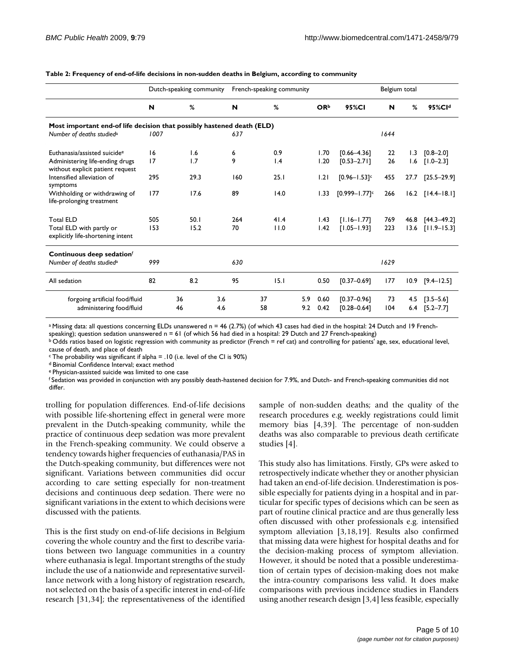|                                                                        | Dutch-speaking community |     |      | French-speaking community |    |      |                 | Belgium total   |                    |        |               |                        |  |  |
|------------------------------------------------------------------------|--------------------------|-----|------|---------------------------|----|------|-----------------|-----------------|--------------------|--------|---------------|------------------------|--|--|
|                                                                        | N                        | %   |      | N                         |    | %    | OR <sup>b</sup> |                 | 95%CI              | %<br>N |               | 95%Cl <sup>d</sup>     |  |  |
| Most important end-of life decision that possibly hastened death (ELD) |                          |     |      |                           |    |      |                 |                 |                    |        |               |                        |  |  |
| Number of deaths studied <sup>a</sup>                                  | 1007                     |     |      | 637                       |    |      |                 |                 |                    | 1644   |               |                        |  |  |
| Euthanasia/assisted suicide <sup>e</sup>                               | 16                       | 1.6 |      | 6                         |    | 0.9  |                 | 1.70            | $[0.66 - 4.36]$    | 22     | 1.3           | $[0.8 - 2.0]$          |  |  |
| Administering life-ending drugs<br>without explicit patient request    | 17                       | 1.7 |      | 9                         |    | 1.4  |                 | 1.20            | $[0.53 - 2.71]$    | 26     | 1.6           | $[1.0 - 2.3]$          |  |  |
| Intensified alleviation of<br>symptoms                                 | 295                      |     | 29.3 | 160                       |    | 25.1 |                 | 1.21            | $[0.96 - 1.53]$ c  | 455    | 27.7          | $[25.5 - 29.9]$        |  |  |
| Withholding or withdrawing of<br>life-prolonging treatment             | 177                      |     | 17.6 | 89                        |    | 14.0 |                 | 1.33            | $[0.999 - 1.77]$ c | 266    |               | $16.2$ $[14.4 - 18.1]$ |  |  |
| <b>Total ELD</b>                                                       | 505                      |     | 50.1 | 264                       |    | 41.4 |                 | 1.43            | $[1.16 - 1.77]$    | 769    | 46.8          | $[44.3 - 49.2]$        |  |  |
| Total ELD with partly or<br>explicitly life-shortening intent          | 153                      |     | 15.2 | 70                        |    | 11.0 |                 | 1.42            | $[1.05 - 1.93]$    | 223    | 13.6          | $[11.9 - 15.3]$        |  |  |
| Continuous deep sedationf                                              |                          |     |      |                           |    |      |                 |                 |                    |        |               |                        |  |  |
| Number of deaths studied <sup>a</sup>                                  | 999                      |     |      | 630                       |    |      |                 |                 |                    | 1629   |               |                        |  |  |
| All sedation                                                           | 82                       | 8.2 |      | 95                        |    | 15.1 |                 | 0.50            | $[0.37 - 0.69]$    | 177    | 10.9          | $[9.4 - 12.5]$         |  |  |
| forgoing artificial food/fluid<br>36                                   |                          | 3.6 |      | 37                        |    | 5.9  | 0.60            | $[0.37 - 0.96]$ | 73                 | 4.5    | $[3.5 - 5.6]$ |                        |  |  |
| administering food/fluid                                               |                          | 46  | 4.6  |                           | 58 |      | 9.2             | 0.42            | $[0.28 - 0.64]$    | 104    | 6.4           | $[5.2 - 7.7]$          |  |  |

#### **Table 2: Frequency of end-of-life decisions in non-sudden deaths in Belgium, according to community**

a Missing data: all questions concerning ELDs unanswered n = 46 (2.7%) (of which 43 cases had died in the hospital: 24 Dutch and 19 Frenchspeaking); question sedation unanswered  $n = 61$  (of which 56 had died in a hospital: 29 Dutch and 27 French-speaking)

 $b$  Odds ratios based on logistic regression with community as predictor (French = ref cat) and controlling for patients' age, sex, educational level, cause of death, and place of death

 $\epsilon$  The probability was significant if alpha = .10 (i.e. level of the CI is 90%)

d Binomial Confidence Interval; exact method

e Physician-assisted suicide was limited to one case

f Sedation was provided in conjunction with any possibly death-hastened decision for 7.9%, and Dutch- and French-speaking communities did not differ.

trolling for population differences. End-of-life decisions with possible life-shortening effect in general were more prevalent in the Dutch-speaking community, while the practice of continuous deep sedation was more prevalent in the French-speaking community. We could observe a tendency towards higher frequencies of euthanasia/PAS in the Dutch-speaking community, but differences were not significant. Variations between communities did occur according to care setting especially for non-treatment decisions and continuous deep sedation. There were no significant variations in the extent to which decisions were discussed with the patients.

This is the first study on end-of-life decisions in Belgium covering the whole country and the first to describe variations between two language communities in a country where euthanasia is legal. Important strengths of the study include the use of a nationwide and representative surveillance network with a long history of registration research, not selected on the basis of a specific interest in end-of-life research [31,34]; the representativeness of the identified

sample of non-sudden deaths; and the quality of the research procedures e.g. weekly registrations could limit memory bias [4,39]. The percentage of non-sudden deaths was also comparable to previous death certificate studies [4].

This study also has limitations. Firstly, GPs were asked to retrospectively indicate whether they or another physician had taken an end-of-life decision. Underestimation is possible especially for patients dying in a hospital and in particular for specific types of decisions which can be seen as part of routine clinical practice and are thus generally less often discussed with other professionals e.g. intensified symptom alleviation [3,18,19]. Results also confirmed that missing data were highest for hospital deaths and for the decision-making process of symptom alleviation. However, it should be noted that a possible underestimation of certain types of decision-making does not make the intra-country comparisons less valid. It does make comparisons with previous incidence studies in Flanders using another research design [3,4] less feasible, especially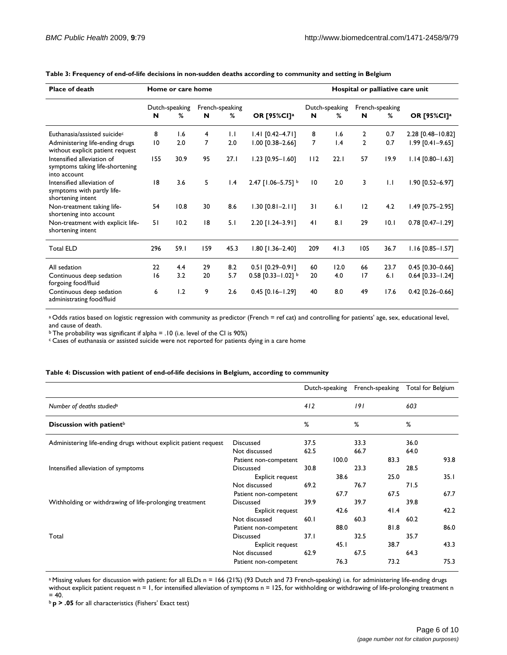| Place of death                                                                | Home or care home |      |                 |      |                      | Hospital or palliative care unit |                 |                 |      |                    |  |
|-------------------------------------------------------------------------------|-------------------|------|-----------------|------|----------------------|----------------------------------|-----------------|-----------------|------|--------------------|--|
|                                                                               | Dutch-speaking    |      | French-speaking |      |                      | Dutch-speaking                   |                 | French-speaking |      |                    |  |
|                                                                               | N                 | %    | N               | %    | <b>OR [95%CI]a</b>   | N                                | %               | N               | %    | <b>OR [95%CI]a</b> |  |
| Euthanasia/assisted suicide <sup>c</sup>                                      | 8                 | 1.6  | 4               | 1.1  | $1.41$ [0.42-4.71]   | 8                                | 1.6             | $\overline{2}$  | 0.7  | 2.28 [0.48-10.82]  |  |
| Administering life-ending drugs<br>without explicit patient request           | 10                | 2.0  | 7               | 2.0  | $1.00$ [0.38-2.66]   | 7                                | $\mathsf{I}$ .4 | $\overline{2}$  | 0.7  | $1.99$ [0.41-9.65] |  |
| Intensified alleviation of<br>symptoms taking life-shortening<br>into account | 155               | 30.9 | 95              | 27.1 | $1.23$ [0.95-1.60]   | 112                              | 22.1            | 57              | 19.9 | $1.14$ [0.80-1.63] |  |
| Intensified alleviation of<br>symptoms with partly life-<br>shortening intent | 18                | 3.6  | 5               | 1.4  | 2.47 [1.06-5.75] b   | $\overline{10}$                  | 2.0             | 3               | 1.1  | $1.90$ [0.52-6.97] |  |
| Non-treatment taking life-<br>shortening into account                         | 54                | 10.8 | 30              | 8.6  | $1.30$ [0.81-2.11]   | 31                               | 6.1             | 12              | 4.2  | $1.49$ [0.75-2.95] |  |
| Non-treatment with explicit life-<br>shortening intent                        | 51                | 10.2 | 18              | 5.1  | 2.20 [1.24-3.91]     | 41                               | 8.1             | 29              | 10.1 | $0.78$ [0.47-1.29] |  |
| <b>Total ELD</b>                                                              | 296               | 59.1 | 159             | 45.3 | $1.80$ [1.36-2.40]   | 209                              | 41.3            | 105             | 36.7 | $1.16$ [0.85-1.57] |  |
| All sedation                                                                  | 22                | 4.4  | 29              | 8.2  | $0.51$ [0.29-0.91]   | 60                               | 12.0            | 66              | 23.7 | $0.45$ [0.30-0.66] |  |
| Continuous deep sedation<br>forgoing food/fluid                               | 16                | 3.2  | 20              | 5.7  | $0.58$ [0.33-1.02] b | 20                               | 4.0             | 17              | 6.1  | $0.64$ [0.33-1.24] |  |
| Continuous deep sedation<br>administrating food/fluid                         | 6                 | 1.2  | 9               | 2.6  | $0.45$ [0.16-1.29]   | 40                               | 8.0             | 49              | 17.6 | $0.42$ [0.26-0.66] |  |

**Table 3: Frequency of end-of-life decisions in non-sudden deaths according to community and setting in Belgium**

<sup>a</sup> Odds ratios based on logistic regression with community as predictor (French = ref cat) and controlling for patients' age, sex, educational level, and cause of death.

 $b$  The probability was significant if alpha = .10 (i.e. level of the CI is 90%)

c Cases of euthanasia or assisted suicide were not reported for patients dying in a care home

#### **Table 4: Discussion with patient of end-of-life decisions in Belgium, according to community**

|                                                                  |                         | Dutch-speaking |       | French-speaking |      | Total for Belgium |      |
|------------------------------------------------------------------|-------------------------|----------------|-------|-----------------|------|-------------------|------|
| Number of deaths studied <sup>a</sup>                            | 412                     |                | 191   |                 | 603  |                   |      |
| Discussion with patient <sup>b</sup>                             |                         | ℅              |       | %               |      | %                 |      |
| Administering life-ending drugs without explicit patient request | <b>Discussed</b>        | 37.5           |       | 33.3            |      | 36.0              |      |
|                                                                  | Not discussed           | 62.5           |       | 66.7            |      | 64.0              |      |
|                                                                  | Patient non-competent   |                | 100.0 |                 | 83.3 |                   | 93.8 |
| Intensified alleviation of symptoms                              | <b>Discussed</b>        | 30.8           |       | 23.3            |      | 28.5              |      |
|                                                                  | Explicit request        |                | 38.6  |                 | 25.0 |                   | 35.1 |
|                                                                  | Not discussed           | 69.2           |       | 76.7            |      | 71.5              |      |
|                                                                  | Patient non-competent   |                | 67.7  |                 | 67.5 |                   | 67.7 |
| Withholding or withdrawing of life-prolonging treatment          | <b>Discussed</b>        | 39.9           |       | 39.7            |      | 39.8              |      |
|                                                                  | <b>Explicit request</b> |                | 42.6  |                 | 41.4 |                   | 42.2 |
|                                                                  | Not discussed           | 60.1           |       | 60.3            |      | 60.2              |      |
|                                                                  | Patient non-competent   |                | 88.0  |                 | 81.8 |                   | 86.0 |
| Total                                                            | <b>Discussed</b>        | 37.1           |       | 32.5            |      | 35.7              |      |
|                                                                  | <b>Explicit request</b> |                | 45. I |                 | 38.7 |                   | 43.3 |
|                                                                  | Not discussed           | 62.9           |       | 67.5            |      | 64.3              |      |
|                                                                  | Patient non-competent   |                | 76.3  |                 | 73.2 |                   | 75.3 |

a Missing values for discussion with patient: for all ELDs n = 166 (21%) (93 Dutch and 73 French-speaking) i.e. for administering life-ending drugs without explicit patient request n = 1, for intensified alleviation of symptoms n = 125, for withholding or withdrawing of life-prolonging treatment n  $= 40.$ 

b **p > .05** for all characteristics (Fishers' Exact test)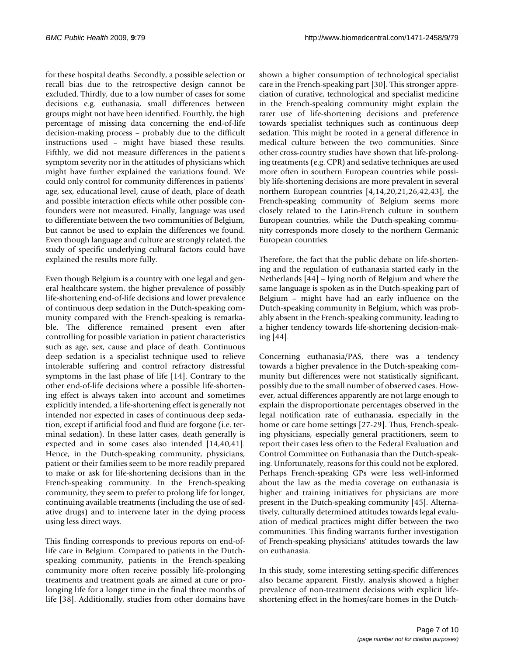for these hospital deaths. Secondly, a possible selection or recall bias due to the retrospective design cannot be excluded. Thirdly, due to a low number of cases for some decisions e.g. euthanasia, small differences between groups might not have been identified. Fourthly, the high percentage of missing data concerning the end-of-life decision-making process – probably due to the difficult instructions used – might have biased these results. Fifthly, we did not measure differences in the patient's symptom severity nor in the attitudes of physicians which might have further explained the variations found. We could only control for community differences in patients' age, sex, educational level, cause of death, place of death and possible interaction effects while other possible confounders were not measured. Finally, language was used to differentiate between the two communities of Belgium, but cannot be used to explain the differences we found. Even though language and culture are strongly related, the study of specific underlying cultural factors could have explained the results more fully.

Even though Belgium is a country with one legal and general healthcare system, the higher prevalence of possibly life-shortening end-of-life decisions and lower prevalence of continuous deep sedation in the Dutch-speaking community compared with the French-speaking is remarkable. The difference remained present even after controlling for possible variation in patient characteristics such as age, sex, cause and place of death. Continuous deep sedation is a specialist technique used to relieve intolerable suffering and control refractory distressful symptoms in the last phase of life [14]. Contrary to the other end-of-life decisions where a possible life-shortening effect is always taken into account and sometimes explicitly intended, a life-shortening effect is generally not intended nor expected in cases of continuous deep sedation, except if artificial food and fluid are forgone (i.e. terminal sedation). In these latter cases, death generally is expected and in some cases also intended [14,40,41]. Hence, in the Dutch-speaking community, physicians, patient or their families seem to be more readily prepared to make or ask for life-shortening decisions than in the French-speaking community. In the French-speaking community, they seem to prefer to prolong life for longer, continuing available treatments (including the use of sedative drugs) and to intervene later in the dying process using less direct ways.

This finding corresponds to previous reports on end-oflife care in Belgium. Compared to patients in the Dutchspeaking community, patients in the French-speaking community more often receive possibly life-prolonging treatments and treatment goals are aimed at cure or prolonging life for a longer time in the final three months of life [38]. Additionally, studies from other domains have shown a higher consumption of technological specialist care in the French-speaking part [30]. This stronger appreciation of curative, technological and specialist medicine in the French-speaking community might explain the rarer use of life-shortening decisions and preference towards specialist techniques such as continuous deep sedation. This might be rooted in a general difference in medical culture between the two communities. Since other cross-country studies have shown that life-prolonging treatments (e.g. CPR) and sedative techniques are used more often in southern European countries while possibly life-shortening decisions are more prevalent in several northern European countries [4,14,20,21,26,42,43], the French-speaking community of Belgium seems more closely related to the Latin-French culture in southern European countries, while the Dutch-speaking community corresponds more closely to the northern Germanic European countries.

Therefore, the fact that the public debate on life-shortening and the regulation of euthanasia started early in the Netherlands [44] – lying north of Belgium and where the same language is spoken as in the Dutch-speaking part of Belgium – might have had an early influence on the Dutch-speaking community in Belgium, which was probably absent in the French-speaking community, leading to a higher tendency towards life-shortening decision-making [44].

Concerning euthanasia/PAS, there was a tendency towards a higher prevalence in the Dutch-speaking community but differences were not statistically significant, possibly due to the small number of observed cases. However, actual differences apparently are not large enough to explain the disproportionate percentages observed in the legal notification rate of euthanasia, especially in the home or care home settings [27-29]. Thus, French-speaking physicians, especially general practitioners, seem to report their cases less often to the Federal Evaluation and Control Committee on Euthanasia than the Dutch-speaking. Unfortunately, reasons for this could not be explored. Perhaps French-speaking GPs were less well-informed about the law as the media coverage on euthanasia is higher and training initiatives for physicians are more present in the Dutch-speaking community [45]. Alternatively, culturally determined attitudes towards legal evaluation of medical practices might differ between the two communities. This finding warrants further investigation of French-speaking physicians' attitudes towards the law on euthanasia.

In this study, some interesting setting-specific differences also became apparent. Firstly, analysis showed a higher prevalence of non-treatment decisions with explicit lifeshortening effect in the homes/care homes in the Dutch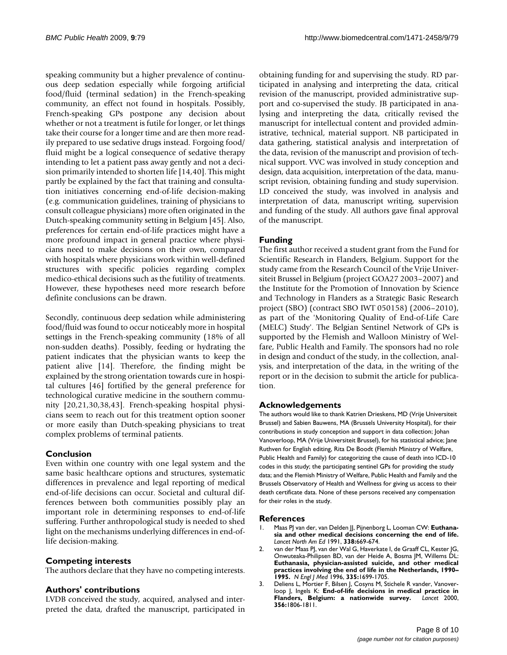speaking community but a higher prevalence of continuous deep sedation especially while forgoing artificial food/fluid (terminal sedation) in the French-speaking community, an effect not found in hospitals. Possibly, French-speaking GPs postpone any decision about whether or not a treatment is futile for longer, or let things take their course for a longer time and are then more readily prepared to use sedative drugs instead. Forgoing food/ fluid might be a logical consequence of sedative therapy intending to let a patient pass away gently and not a decision primarily intended to shorten life [14,40]. This might partly be explained by the fact that training and consultation initiatives concerning end-of-life decision-making (e.g. communication guidelines, training of physicians to consult colleague physicians) more often originated in the Dutch-speaking community setting in Belgium [45]. Also, preferences for certain end-of-life practices might have a more profound impact in general practice where physicians need to make decisions on their own, compared with hospitals where physicians work within well-defined structures with specific policies regarding complex medico-ethical decisions such as the futility of treatments. However, these hypotheses need more research before definite conclusions can be drawn.

Secondly, continuous deep sedation while administering food/fluid was found to occur noticeably more in hospital settings in the French-speaking community (18% of all non-sudden deaths). Possibly, feeding or hydrating the patient indicates that the physician wants to keep the patient alive [14]. Therefore, the finding might be explained by the strong orientation towards cure in hospital cultures [46] fortified by the general preference for technological curative medicine in the southern community [20,21,30,38,43]. French-speaking hospital physicians seem to reach out for this treatment option sooner or more easily than Dutch-speaking physicians to treat complex problems of terminal patients.

### **Conclusion**

Even within one country with one legal system and the same basic healthcare options and structures, systematic differences in prevalence and legal reporting of medical end-of-life decisions can occur. Societal and cultural differences between both communities possibly play an important role in determining responses to end-of-life suffering. Further anthropological study is needed to shed light on the mechanisms underlying differences in end-oflife decision-making.

### **Competing interests**

The authors declare that they have no competing interests.

### **Authors' contributions**

LVDB conceived the study, acquired, analysed and interpreted the data, drafted the manuscript, participated in obtaining funding for and supervising the study. RD participated in analysing and interpreting the data, critical revision of the manuscript, provided administrative support and co-supervised the study. JB participated in analysing and interpreting the data, critically revised the manuscript for intellectual content and provided administrative, technical, material support. NB participated in data gathering, statistical analysis and interpretation of the data, revision of the manuscript and provision of technical support. VVC was involved in study conception and design, data acquisition, interpretation of the data, manuscript revision, obtaining funding and study supervision. LD conceived the study, was involved in analysis and interpretation of data, manuscript writing, supervision and funding of the study. All authors gave final approval of the manuscript.

# **Funding**

The first author received a student grant from the Fund for Scientific Research in Flanders, Belgium. Support for the study came from the Research Council of the Vrije Universiteit Brussel in Belgium (project GOA27 2003–2007) and the Institute for the Promotion of Innovation by Science and Technology in Flanders as a Strategic Basic Research project (SBO) (contract SBO IWT 050158) (2006–2010), as part of the 'Monitoring Quality of End-of-Life Care (MELC) Study'. The Belgian Sentinel Network of GPs is supported by the Flemish and Walloon Ministry of Welfare, Public Health and Family. The sponsors had no role in design and conduct of the study, in the collection, analysis, and interpretation of the data, in the writing of the report or in the decision to submit the article for publication.

### **Acknowledgements**

The authors would like to thank Katrien Drieskens, MD (Vrije Universiteit Brussel) and Sabien Bauwens, MA (Brussels University Hospital), for their contributions in study conception and support in data collection; Johan Vanoverloop, MA (Vrije Universiteit Brussel), for his statistical advice; Jane Ruthven for English editing, Rita De Boodt (Flemish Ministry of Welfare, Public Health and Family) for categorizing the cause of death into ICD-10 codes in this study; the participating sentinel GPs for providing the study data; and the Flemish Ministry of Welfare, Public Health and Family and the Brussels Observatory of Health and Wellness for giving us access to their death certificate data. None of these persons received any compensation for their roles in the study.

### **References**

- Maas PJ van der, van Delden JJ, Pijnenborg L, Looman CW: Euthana**sia and other medical decisions concerning the end of life.** *Lancet North Am Ed* 1991, **338:**669-674.
- 2. van der Maas PJ, van der Wal G, Haverkate I, de Graaff CL, Kester JG, Onwuteaka-Philipsen BD, van der Heide A, Bosma JM, Willems DL: **[Euthanasia, physician-assisted suicide, and other medical](http://www.ncbi.nlm.nih.gov/entrez/query.fcgi?cmd=Retrieve&db=PubMed&dopt=Abstract&list_uids=8929370) practices involving the end of life in the Netherlands, 1990– [1995.](http://www.ncbi.nlm.nih.gov/entrez/query.fcgi?cmd=Retrieve&db=PubMed&dopt=Abstract&list_uids=8929370)** *N Engl J Med* 1996, **335:**1699-1705.
- 3. Deliens L, Mortier F, Bilsen J, Cosyns M, Stichele R vander, Vanoverloop J, Ingels K: **[End-of-life decisions in medical practice in](http://www.ncbi.nlm.nih.gov/entrez/query.fcgi?cmd=Retrieve&db=PubMed&dopt=Abstract&list_uids=11117913)** [Flanders, Belgium: a nationwide survey.](http://www.ncbi.nlm.nih.gov/entrez/query.fcgi?cmd=Retrieve&db=PubMed&dopt=Abstract&list_uids=11117913) **356:**1806-1811.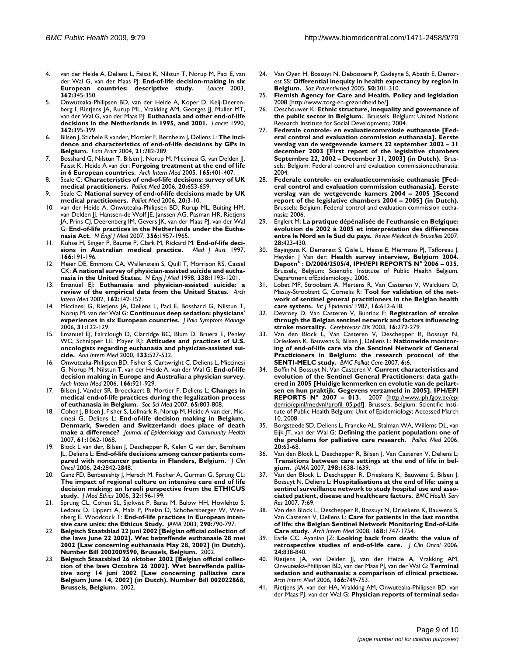- 4. van der Heide A, Deliens L, Faisst K, Nilstun T, Norup M, Paci E, van der Wal G, van der Maas PJ: **[End-of-life decision-making in six](http://www.ncbi.nlm.nih.gov/entrez/query.fcgi?cmd=Retrieve&db=PubMed&dopt=Abstract&list_uids=12907005)**<br>**European countries: descriptive study.** Lancet 2003, [European countries: descriptive study.](http://www.ncbi.nlm.nih.gov/entrez/query.fcgi?cmd=Retrieve&db=PubMed&dopt=Abstract&list_uids=12907005) **362:**345-350.
- 5. Onwuteaka-Philipsen BD, van der Heide A, Koper D, Keij-Deerenberg I, Rietjens JA, Rurup ML, Vrakking AM, Georges JJ, Muller MT, van der Wal G, van der Maas PJ: **Euthanasia and other end-of-life decisions in the Netherlands in 1995, and 2001.** *Lancet* 1990, **362:**395-399.
- 6. Bilsen J, Stichele R vander, Mortier F, Bernheim J, Deliens L: **[The inci](http://www.ncbi.nlm.nih.gov/entrez/query.fcgi?cmd=Retrieve&db=PubMed&dopt=Abstract&list_uids=15128690)[dence and characteristics of end-of-life decisions by GPs in](http://www.ncbi.nlm.nih.gov/entrez/query.fcgi?cmd=Retrieve&db=PubMed&dopt=Abstract&list_uids=15128690) [Belgium.](http://www.ncbi.nlm.nih.gov/entrez/query.fcgi?cmd=Retrieve&db=PubMed&dopt=Abstract&list_uids=15128690)** *Fam Pract* 2004, **21:**282-289.
- 7. Bosshard G, Nilstun T, Bilsen J, Norup M, Miccinesi G, van Delden JJ, Faisst K, Heide A van der: **[Forgoing treatment at the end of life](http://www.ncbi.nlm.nih.gov/entrez/query.fcgi?cmd=Retrieve&db=PubMed&dopt=Abstract&list_uids=15738368) [in 6 European countries.](http://www.ncbi.nlm.nih.gov/entrez/query.fcgi?cmd=Retrieve&db=PubMed&dopt=Abstract&list_uids=15738368)** *Arch Intern Med* 2005, **165:**401-407.
- 8. Seale C: **[Characteristics of end-of-life decisions: survey of UK](http://www.ncbi.nlm.nih.gov/entrez/query.fcgi?cmd=Retrieve&db=PubMed&dopt=Abstract&list_uids=17060263) [medical practitioners.](http://www.ncbi.nlm.nih.gov/entrez/query.fcgi?cmd=Retrieve&db=PubMed&dopt=Abstract&list_uids=17060263)** *Palliat Med* 2006, **20:**653-659.
- 9. Seale C: **[National survey of end-of-life decisions made by UK](http://www.ncbi.nlm.nih.gov/entrez/query.fcgi?cmd=Retrieve&db=PubMed&dopt=Abstract&list_uids=16482752) [medical practitioners.](http://www.ncbi.nlm.nih.gov/entrez/query.fcgi?cmd=Retrieve&db=PubMed&dopt=Abstract&list_uids=16482752)** *Palliat Med* 2006, **20:**3-10.
- 10. van der Heide A, Onwuteaka-Philipsen BD, Rurup ML, Buiting HM, van Delden JJ, Hanssen-de Wolf JE, Janssen AG, Pasman HR, Rietjens JA, Prins CJ, Deerenberg IM, Gevers JK, van der Maas PJ, van der Wal G: **[End-of-life practices in the Netherlands under the Eutha](http://www.ncbi.nlm.nih.gov/entrez/query.fcgi?cmd=Retrieve&db=PubMed&dopt=Abstract&list_uids=17494928)[nasia Act.](http://www.ncbi.nlm.nih.gov/entrez/query.fcgi?cmd=Retrieve&db=PubMed&dopt=Abstract&list_uids=17494928)** *N Engl J Med* 2007, **356:**1957-1965.
- 11. Kuhse H, Singer P, Baume P, Clark M, Rickard M: **[End-of-life deci](http://www.ncbi.nlm.nih.gov/entrez/query.fcgi?cmd=Retrieve&db=PubMed&dopt=Abstract&list_uids=9066548)[sions in Australian medical practice.](http://www.ncbi.nlm.nih.gov/entrez/query.fcgi?cmd=Retrieve&db=PubMed&dopt=Abstract&list_uids=9066548)** *Med J Aust* 1997, **166:**191-196.
- 12. Meier DE, Emmons CA, Wallenstein S, Quill T, Morrison RS, Cassel CK: **[A national survey of physician-assisted suicide and eutha](http://www.ncbi.nlm.nih.gov/entrez/query.fcgi?cmd=Retrieve&db=PubMed&dopt=Abstract&list_uids=9554861)[nasia in the United States.](http://www.ncbi.nlm.nih.gov/entrez/query.fcgi?cmd=Retrieve&db=PubMed&dopt=Abstract&list_uids=9554861)** *N Engl J Med* 1998, **338:**1193-1201.
- 13. Emanuel EJ: **[Euthanasia and physician-assisted suicide: a](http://www.ncbi.nlm.nih.gov/entrez/query.fcgi?cmd=Retrieve&db=PubMed&dopt=Abstract&list_uids=11802747) [review of the empirical data from the United States.](http://www.ncbi.nlm.nih.gov/entrez/query.fcgi?cmd=Retrieve&db=PubMed&dopt=Abstract&list_uids=11802747)** *Arch Intern Med* 2002, **162:**142-152.
- 14. Miccinesi G, Rietjens JA, Deliens L, Paci E, Bosshard G, Nilstun T, Norup M, van der Wal G: **[Continuous deep sedation: physicians'](http://www.ncbi.nlm.nih.gov/entrez/query.fcgi?cmd=Retrieve&db=PubMed&dopt=Abstract&list_uids=16488345) [experiences in six European countries.](http://www.ncbi.nlm.nih.gov/entrez/query.fcgi?cmd=Retrieve&db=PubMed&dopt=Abstract&list_uids=16488345)** *J Pain Symptom Manage* 2006, **31:**122-129.
- 15. Emanuel EJ, Fairclough D, Clarridge BC, Blum D, Bruera E, Penley WC, Schnipper LE, Mayer RJ: **[Attitudes and practices of U.S.](http://www.ncbi.nlm.nih.gov/entrez/query.fcgi?cmd=Retrieve&db=PubMed&dopt=Abstract&list_uids=11015165) [oncologists regarding euthanasia and physician-assisted sui](http://www.ncbi.nlm.nih.gov/entrez/query.fcgi?cmd=Retrieve&db=PubMed&dopt=Abstract&list_uids=11015165)[cide.](http://www.ncbi.nlm.nih.gov/entrez/query.fcgi?cmd=Retrieve&db=PubMed&dopt=Abstract&list_uids=11015165)** *Ann Intern Med* 2000, **133:**527-532.
- 16. Onwuteaka-Philipsen BD, Fisher S, Cartwright C, Deliens L, Miccinesi G, Norup M, Nilstun T, van der Heide A, van der Wal G: **[End-of-life](http://www.ncbi.nlm.nih.gov/entrez/query.fcgi?cmd=Retrieve&db=PubMed&dopt=Abstract&list_uids=16636220) [decision making in Europe and Australia: a physician survey.](http://www.ncbi.nlm.nih.gov/entrez/query.fcgi?cmd=Retrieve&db=PubMed&dopt=Abstract&list_uids=16636220)** *Arch Intern Med* 2006, **166:**921-929.
- 17. Bilsen J, Vander SR, Broeckaert B, Mortier F, Deliens L: [Changes in](http://www.ncbi.nlm.nih.gov/entrez/query.fcgi?cmd=Retrieve&db=PubMed&dopt=Abstract&list_uids=17490798) **[medical end-of-life practices during the legalization process](http://www.ncbi.nlm.nih.gov/entrez/query.fcgi?cmd=Retrieve&db=PubMed&dopt=Abstract&list_uids=17490798) [of euthanasia in Belgium.](http://www.ncbi.nlm.nih.gov/entrez/query.fcgi?cmd=Retrieve&db=PubMed&dopt=Abstract&list_uids=17490798)** *Soc Sci Med* 2007, **65:**803-808.
- 18. Cohen J, Bilsen J, Fisher S, Löfmark R, Norup M, Heide A van der, Miccinesi G, Deliens L: **End-of-life decision making in Belgium, Denmark, Sweden and Switzerland: does place of death make a difference?** *Journal of Epidemiology and Community Health* 2007, **61:**1062-1068.
- 19. Block L van der, Bilsen J, Deschepper R, Kelen G van der, Bernheim JL, Deliens L: **[End-of-life decisions among cancer patients com](http://www.ncbi.nlm.nih.gov/entrez/query.fcgi?cmd=Retrieve&db=PubMed&dopt=Abstract&list_uids=16782923)[pared with noncancer patients in Flanders, Belgium.](http://www.ncbi.nlm.nih.gov/entrez/query.fcgi?cmd=Retrieve&db=PubMed&dopt=Abstract&list_uids=16782923)** *J Clin Oncol* 2006, **24:**2842-2848.
- Ganz FD, Benbenishty J, Hersch M, Fischer A, Gurman G, Sprung CL: **[The impact of regional culture on intensive care end of life](http://www.ncbi.nlm.nih.gov/entrez/query.fcgi?cmd=Retrieve&db=PubMed&dopt=Abstract&list_uids=16574871) decision making: an Israeli perspective from the ETHICUS [study.](http://www.ncbi.nlm.nih.gov/entrez/query.fcgi?cmd=Retrieve&db=PubMed&dopt=Abstract&list_uids=16574871)** *J Med Ethics* 2006, **32:**196-199.
- 21. Sprung CL, Cohen SL, Sjokvist P, Baras M, Bulow HH, Hovilehto S, Ledoux D, Lippert A, Maia P, Phelan D, Schobersberger W, Wennberg E, Woodcock T: **[End-of-life practices in European inten](http://www.ncbi.nlm.nih.gov/entrez/query.fcgi?cmd=Retrieve&db=PubMed&dopt=Abstract&list_uids=12915432)[sive care units: the Ethicus Study.](http://www.ncbi.nlm.nih.gov/entrez/query.fcgi?cmd=Retrieve&db=PubMed&dopt=Abstract&list_uids=12915432)** *JAMA* 2003, **290:**790-797.
- 22. **Belgisch Staatsblad 22 juni 2002 [Belgian official collection of the laws June 22 2002]. Wet betreffende euthanasie 28 mei 2002 [Law concerning euthanasia May 28, 2002] (in Dutch). Number Bill 2002009590, Brussels, Belgium.** 2002.
- 23. **Belgisch Staatsblad 26 oktober 2002 [Belgian official collection of the laws Octobre 26 2002]. Wet betreffende palliative zorg 14 juni 2002 [Law concerning palliative care Belgium June 14, 2002] (in Dutch). Number Bill 002022868, Brussels, Belgium.** 2002.
- 24. Van Oyen H, Bossuyt N, Deboosere P, Gadeyne S, Abatih E, Demarest SS: **[Differential inequity in health expectancy by region in](http://www.ncbi.nlm.nih.gov/entrez/query.fcgi?cmd=Retrieve&db=PubMed&dopt=Abstract&list_uids=16300174) [Belgium.](http://www.ncbi.nlm.nih.gov/entrez/query.fcgi?cmd=Retrieve&db=PubMed&dopt=Abstract&list_uids=16300174)** *Soz Praventivmed* 2005, **50:**301-310.
- 25. **Flemish Agency for Care and Health. Policy and legislation** 2008 [<http://www.zorg-en-gezondheid.be/>].
- 26. Deschouwer K: **Ethnic structure, inequality and governance of the public sector in Belgium.** Brussels, Belgium: United Nations Research Institute for Social Development.; 2004.
- 27. **Federale controle- en evaluatiecommissie euthanasie [Federal control and evaluation commission euthanasia]. Eerste verslag van de wetgevende kamers 22 september 2002 – 31 december 2003 [First report of the legislative chambers Septembre 22, 2002 – December 31, 2003] (in Dutch).** Brussels: Belgium: Federal control and evaluation commissioneuthanasia; 2004.
- 28. **Federale controle- en evaluatiecommissie euthanasie [Federal control and evaluation commission euthanasia]. Eerste verslag van de wetgevende kamers 2004 – 2005 ]Second report of the legislative chambers 2004 – 2005] (in Dutch).** Brussels: Belgium: Federal control and evaluation commission euthanasia; 2006.
- 29. Englert M: **La pratique dépénalisée de l'euthansie en Belgique: évolution de 2002 à 2005 et interprétation des différences entre le Nord en le Sud du pays.** *Revue Médical de Bruxelles* 2007, **28:**423-430.
- 30. Bayingana K, Demarest S, Gisle L, Hesse E, Miermans PJ, Tafforeau J, Heyden J Van der: **Health survey interview, Belgium 2004. Depotn° : D/2006/2505/4, IPH/EPI REPORTS N° 2006 – 035.** Brussels, Belgium: Scientific Institute of Public Health Belgium, Department ofEpidemiology.; 2006.
- Lobet MP, Stroobant A, Mertens R, Van Casteren V, Walckiers D, Masuy-Stroobant G, Cornelis R: **[Tool for validation of the net](http://www.ncbi.nlm.nih.gov/entrez/query.fcgi?cmd=Retrieve&db=PubMed&dopt=Abstract&list_uids=3440673)[work of sentinel general practitioners in the Belgian health](http://www.ncbi.nlm.nih.gov/entrez/query.fcgi?cmd=Retrieve&db=PubMed&dopt=Abstract&list_uids=3440673) [care system.](http://www.ncbi.nlm.nih.gov/entrez/query.fcgi?cmd=Retrieve&db=PubMed&dopt=Abstract&list_uids=3440673)** *Int J Epidemiol* 1987, **16:**612-618.
- 32. Devroey D, Van Casteren V, Buntinx F: **[Registration of stroke](http://www.ncbi.nlm.nih.gov/entrez/query.fcgi?cmd=Retrieve&db=PubMed&dopt=Abstract&list_uids=12865616) [through the Belgian sentinel network and factors influencing](http://www.ncbi.nlm.nih.gov/entrez/query.fcgi?cmd=Retrieve&db=PubMed&dopt=Abstract&list_uids=12865616) [stroke mortality.](http://www.ncbi.nlm.nih.gov/entrez/query.fcgi?cmd=Retrieve&db=PubMed&dopt=Abstract&list_uids=12865616)** *Cerebrovasc Dis* 2003, **16:**272-279.
- 33. Van den Block L, Van Casteren V, Deschepper R, Bossuyt N, Drieskens K, Bauwens S, Bilsen J, Deliens L: **[Nationwide monitor](http://www.ncbi.nlm.nih.gov/entrez/query.fcgi?cmd=Retrieve&db=PubMed&dopt=Abstract&list_uids=17922893)[ing of end-of-life care via the Sentinel Network of General](http://www.ncbi.nlm.nih.gov/entrez/query.fcgi?cmd=Retrieve&db=PubMed&dopt=Abstract&list_uids=17922893) Practitioners in Belgium: the research protocol of the [SENTI-MELC study.](http://www.ncbi.nlm.nih.gov/entrez/query.fcgi?cmd=Retrieve&db=PubMed&dopt=Abstract&list_uids=17922893)** *BMC Palliat Care* 2007, **6:**6.
- Boffin N, Bossuyt N, Van Casteren V: **Current characteristics and evolution of the Sentinel General Practitioners: data gathered in 2005 [Huidige kenmerken en evolutie van de peilartsen en hun praktijk. Gegevens verzameld in 2005]. IPH/EPI REPORTS N° 2007 – 013.** 2007 [\[http://www.iph.fgov.be/epi](http://www.iph.fgov.be/epidemio/epinl/medvnl/profil_05.pdf) [demio/epinl/medvnl/profil\\_05.pdf\]](http://www.iph.fgov.be/epidemio/epinl/medvnl/profil_05.pdf). Brussels, Belgium: Scientific Institute of Public Health Belgium; Unit of Epidemiology; Accessed March 10, 2008
- 35. Borgsteede SD, Deliens L, Francke AL, Stalman WA, Willems DL, van Eijk JT, van der Wal G: **[Defining the patient population: one of](http://www.ncbi.nlm.nih.gov/entrez/query.fcgi?cmd=Retrieve&db=PubMed&dopt=Abstract&list_uids=16613401) [the problems for palliative care research.](http://www.ncbi.nlm.nih.gov/entrez/query.fcgi?cmd=Retrieve&db=PubMed&dopt=Abstract&list_uids=16613401)** *Palliat Med* 2006, **20:**63-68.
- 36. Van den Block L, Deschepper R, Bilsen J, Van Casteren V, Deliens L: **[Transitions between care settings at the end of life in bel](http://www.ncbi.nlm.nih.gov/entrez/query.fcgi?cmd=Retrieve&db=PubMed&dopt=Abstract&list_uids=17925515)[gium.](http://www.ncbi.nlm.nih.gov/entrez/query.fcgi?cmd=Retrieve&db=PubMed&dopt=Abstract&list_uids=17925515)** *JAMA* 2007, **298:**1638-1639.
- 37. Van den Block L, Deschepper R, Drieskens K, Bauwens S, Bilsen J, Bossuyt N, Deliens L: **[Hospitalisations at the end of life: using a](http://www.ncbi.nlm.nih.gov/entrez/query.fcgi?cmd=Retrieve&db=PubMed&dopt=Abstract&list_uids=17488520) [sentinel surveillance network to study hospital use and asso](http://www.ncbi.nlm.nih.gov/entrez/query.fcgi?cmd=Retrieve&db=PubMed&dopt=Abstract&list_uids=17488520)[ciated patient, disease and healthcare factors.](http://www.ncbi.nlm.nih.gov/entrez/query.fcgi?cmd=Retrieve&db=PubMed&dopt=Abstract&list_uids=17488520)** *BMC Health Serv Res* 2007, **7:**69.
- Van den Block L, Deschepper R, Bossuyt N, Drieskens K, Bauwens S, Van Casteren V, Deliens L: **[Care for patients in the last months](http://www.ncbi.nlm.nih.gov/entrez/query.fcgi?cmd=Retrieve&db=PubMed&dopt=Abstract&list_uids=18779461) [of life: the Belgian Sentinel Network Monitoring End-of-Life](http://www.ncbi.nlm.nih.gov/entrez/query.fcgi?cmd=Retrieve&db=PubMed&dopt=Abstract&list_uids=18779461) [Care study.](http://www.ncbi.nlm.nih.gov/entrez/query.fcgi?cmd=Retrieve&db=PubMed&dopt=Abstract&list_uids=18779461)** *Arch Intern Med* 2008, **168:**1747-1754.
- 39. Earle CC, Ayanian JZ: **[Looking back from death: the value of](http://www.ncbi.nlm.nih.gov/entrez/query.fcgi?cmd=Retrieve&db=PubMed&dopt=Abstract&list_uids=16484691) [retrospective studies of end-of-life care.](http://www.ncbi.nlm.nih.gov/entrez/query.fcgi?cmd=Retrieve&db=PubMed&dopt=Abstract&list_uids=16484691)** *J Clin Oncol* 2006, **24:**838-840.
- 40. Rietjens JA, van Delden JJ, van der Heide A, Vrakking AM, Onwuteaka-Philipsen BD, van der Maas PJ, van der Wal G: **[Terminal](http://www.ncbi.nlm.nih.gov/entrez/query.fcgi?cmd=Retrieve&db=PubMed&dopt=Abstract&list_uids=16606811) [sedation and euthanasia: a comparison of clinical practices.](http://www.ncbi.nlm.nih.gov/entrez/query.fcgi?cmd=Retrieve&db=PubMed&dopt=Abstract&list_uids=16606811)** *Arch Intern Med* 2006, **166:**749-753.
- 41. Rietjens JA, van der HA, Vrakking AM, Onwuteaka-Philipsen BD, van der Maas PJ, van der Wal G: **[Physician reports of terminal seda](http://www.ncbi.nlm.nih.gov/entrez/query.fcgi?cmd=Retrieve&db=PubMed&dopt=Abstract&list_uids=15289214)-**